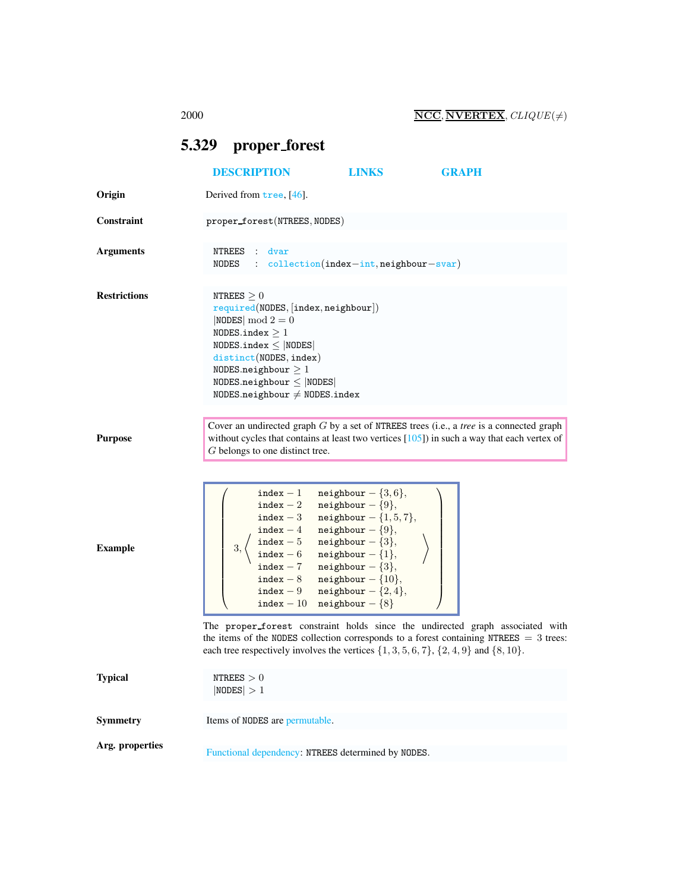## <span id="page-0-0"></span>5.329 proper forest

|                     | <b>DESCRIPTION</b>                                                                                                                                                                                                                                                | LINKS                                                                                                                                                                                                                                            | <b>GRAPH</b>                                                                                                                                                                                |
|---------------------|-------------------------------------------------------------------------------------------------------------------------------------------------------------------------------------------------------------------------------------------------------------------|--------------------------------------------------------------------------------------------------------------------------------------------------------------------------------------------------------------------------------------------------|---------------------------------------------------------------------------------------------------------------------------------------------------------------------------------------------|
| Origin              | Derived from tree, [46].                                                                                                                                                                                                                                          |                                                                                                                                                                                                                                                  |                                                                                                                                                                                             |
| Constraint          | proper_forest(NTREES, NODES)                                                                                                                                                                                                                                      |                                                                                                                                                                                                                                                  |                                                                                                                                                                                             |
| <b>Arguments</b>    | NTREES<br>: dvar<br>NODES : $\text{collection}(index-int, \text{neighbor-svar})$                                                                                                                                                                                  |                                                                                                                                                                                                                                                  |                                                                                                                                                                                             |
| <b>Restrictions</b> | NTREES $\geq 0$<br>required(NDDES, [index, neighbor])<br>$ NODES  \mod 2 = 0$<br>NODES.index $\geq 1$<br>NODES.index $\leq$  NODES <br>distinct(NODES, index)<br>NODES.neighbour $\geq 1$<br>$NODES.neighbour \leq  NODES $<br>NODES.neighbour $\neq$ NODES.index |                                                                                                                                                                                                                                                  |                                                                                                                                                                                             |
| <b>Purpose</b>      | G belongs to one distinct tree.                                                                                                                                                                                                                                   |                                                                                                                                                                                                                                                  | Cover an undirected graph $G$ by a set of NTREES trees (i.e., a tree is a connected graph<br>without cycles that contains at least two vertices $[105]$ ) in such a way that each vertex of |
| <b>Example</b>      | index - 2 neighbour - $\{9\},\$<br>index - 7 neighbour - $\{3\},\$<br>index - 10 neighbour - $\{8\}$                                                                                                                                                              | index - 1 neighbour $-\{3,6\},\$<br>index - 3 neighbour - $\{1, 5, 7\},\$<br>index - 4 neighbour - $\{9\},\$<br>index - 5 neighbour - {3},<br>index - 6 neighbour - {1},<br>index - 8 neighbour - $\{10\},\$<br>index - 9 neighbour $-\{2,4\},\$ |                                                                                                                                                                                             |
| <b>Typical</b>      | each tree respectively involves the vertices $\{1, 3, 5, 6, 7\}, \{2, 4, 9\}$ and $\{8, 10\}.$<br>NTREES $>0$                                                                                                                                                     |                                                                                                                                                                                                                                                  | The proper_forest constraint holds since the undirected graph associated with<br>the items of the NODES collection corresponds to a forest containing NTREES $=$ 3 trees:                   |
| <b>Symmetry</b>     | NODES  > 1<br>Items of NODES are permutable.                                                                                                                                                                                                                      |                                                                                                                                                                                                                                                  |                                                                                                                                                                                             |
|                     |                                                                                                                                                                                                                                                                   |                                                                                                                                                                                                                                                  |                                                                                                                                                                                             |
| Arg. properties     | Functional dependency: NTREES determined by NODES.                                                                                                                                                                                                                |                                                                                                                                                                                                                                                  |                                                                                                                                                                                             |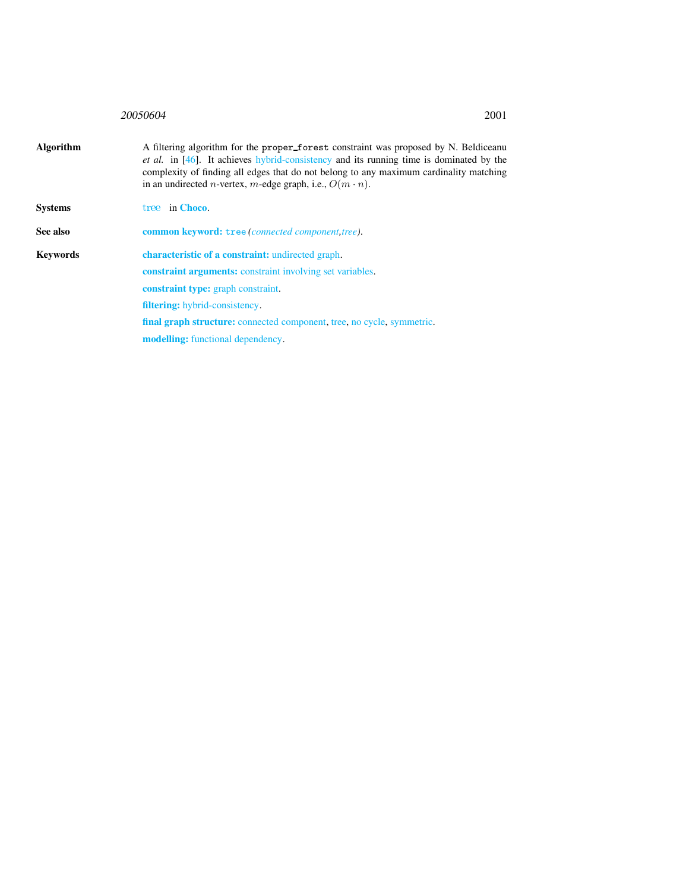## 20050604 2001

<span id="page-1-0"></span>

| <b>Algorithm</b> | A filtering algorithm for the proper_forest constraint was proposed by N. Beldiceanu<br><i>et al.</i> in [46]. It achieves hybrid-consistency and its running time is dominated by the<br>complexity of finding all edges that do not belong to any maximum cardinality matching<br>in an undirected <i>n</i> -vertex, <i>m</i> -edge graph, i.e., $O(m \cdot n)$ . |
|------------------|---------------------------------------------------------------------------------------------------------------------------------------------------------------------------------------------------------------------------------------------------------------------------------------------------------------------------------------------------------------------|
| <b>Systems</b>   | tree in Choco.                                                                                                                                                                                                                                                                                                                                                      |
| See also         | <b>common keyword:</b> tree ( <i>connected component,tree</i> ).                                                                                                                                                                                                                                                                                                    |
| <b>Keywords</b>  | <b>characteristic of a constraint:</b> undirected graph.                                                                                                                                                                                                                                                                                                            |
|                  | <b>constraint arguments:</b> constraint involving set variables.                                                                                                                                                                                                                                                                                                    |
|                  | constraint type: graph constraint.                                                                                                                                                                                                                                                                                                                                  |
|                  | filtering: hybrid-consistency.                                                                                                                                                                                                                                                                                                                                      |
|                  | final graph structure: connected component, tree, no cycle, symmetric.                                                                                                                                                                                                                                                                                              |
|                  | <b>modelling:</b> functional dependency.                                                                                                                                                                                                                                                                                                                            |
|                  |                                                                                                                                                                                                                                                                                                                                                                     |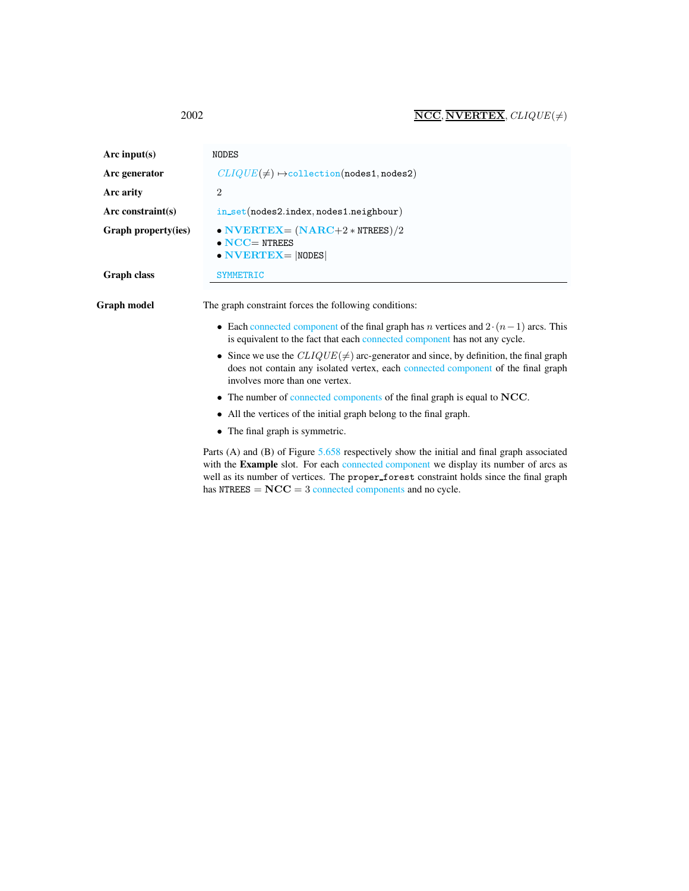| Arc input( $s$ )     | NODES                                                                                                                                                                                                                                                                          |
|----------------------|--------------------------------------------------------------------------------------------------------------------------------------------------------------------------------------------------------------------------------------------------------------------------------|
| Arc generator        | $CLIQUE(\neq) \rightarrow collection(nodes1, nodes2)$                                                                                                                                                                                                                          |
| Arc arity            | $\overline{2}$                                                                                                                                                                                                                                                                 |
| Arc constraint $(s)$ | $in_set(node2.index, nodes1.neighbour)$                                                                                                                                                                                                                                        |
| Graph property(ies)  | • NVERTEX= $(NARC+2*NTEES)/2$<br>$\bullet$ NCC= NTREES<br>$\bullet$ NVERTEX=  NODES                                                                                                                                                                                            |
| <b>Graph class</b>   | <b>SYMMETRIC</b>                                                                                                                                                                                                                                                               |
| Graph model          | The graph constraint forces the following conditions:<br>• Each connected component of the final graph has <i>n</i> vertices and $2 \cdot (n-1)$ arcs. This<br>is equivalent to the fact that each connected component has not any cycle.                                      |
|                      | • Since we use the $CLIQUE(\neq)$ arc-generator and since, by definition, the final graph<br>does not contain any isolated vertex, each connected component of the final graph<br>involves more than one vertex.                                                               |
|                      | • The number of connected components of the final graph is equal to NCC.                                                                                                                                                                                                       |
|                      | • All the vertices of the initial graph belong to the final graph.                                                                                                                                                                                                             |
|                      | • The final graph is symmetric.                                                                                                                                                                                                                                                |
|                      | Parts (A) and (B) of Figure 5.658 respectively show the initial and final graph associated<br>with the Example slot. For each connected component we display its number of arcs as<br>well as its number of vertices. The proper_forest constraint holds since the final graph |

has  $NTREES = NCC = 3$  connected components and no cycle.

<span id="page-2-0"></span>